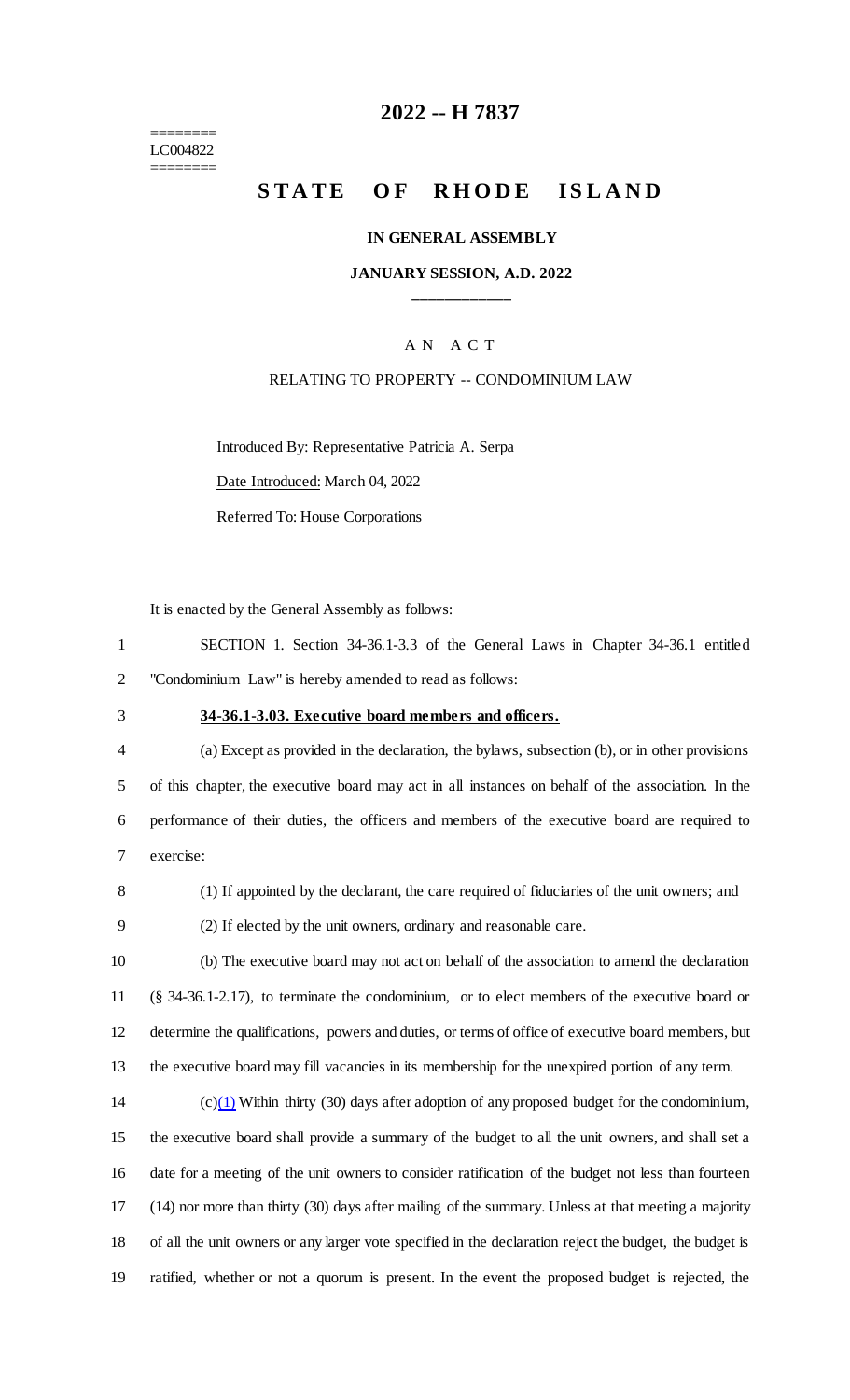======== LC004822 ========

## **2022 -- H 7837**

# **STATE OF RHODE ISLAND**

#### **IN GENERAL ASSEMBLY**

### **JANUARY SESSION, A.D. 2022 \_\_\_\_\_\_\_\_\_\_\_\_**

## A N A C T

#### RELATING TO PROPERTY -- CONDOMINIUM LAW

Introduced By: Representative Patricia A. Serpa

Date Introduced: March 04, 2022

Referred To: House Corporations

It is enacted by the General Assembly as follows:

|                                                              | SECTION 1. Section 34-36.1-3.3 of the General Laws in Chapter 34-36.1 entitled |  |  |  |  |  |  |  |  |
|--------------------------------------------------------------|--------------------------------------------------------------------------------|--|--|--|--|--|--|--|--|
| "Condominium Law" is hereby amended to read as follows:<br>2 |                                                                                |  |  |  |  |  |  |  |  |

### 3 **34-36.1-3.03. Executive board members and officers.**

 (a) Except as provided in the declaration, the bylaws, subsection (b), or in other provisions of this chapter, the executive board may act in all instances on behalf of the association. In the performance of their duties, the officers and members of the executive board are required to exercise:

8 (1) If appointed by the declarant, the care required of fiduciaries of the unit owners; and

9 (2) If elected by the unit owners, ordinary and reasonable care.

 (b) The executive board may not act on behalf of the association to amend the declaration (§ 34-36.1-2.17), to terminate the condominium, or to elect members of the executive board or determine the qualifications, powers and duties, or terms of office of executive board members, but the executive board may fill vacancies in its membership for the unexpired portion of any term.

14 (c) $(1)$  Within thirty (30) days after adoption of any proposed budget for the condominium, the executive board shall provide a summary of the budget to all the unit owners, and shall set a date for a meeting of the unit owners to consider ratification of the budget not less than fourteen (14) nor more than thirty (30) days after mailing of the summary. Unless at that meeting a majority of all the unit owners or any larger vote specified in the declaration reject the budget, the budget is ratified, whether or not a quorum is present. In the event the proposed budget is rejected, the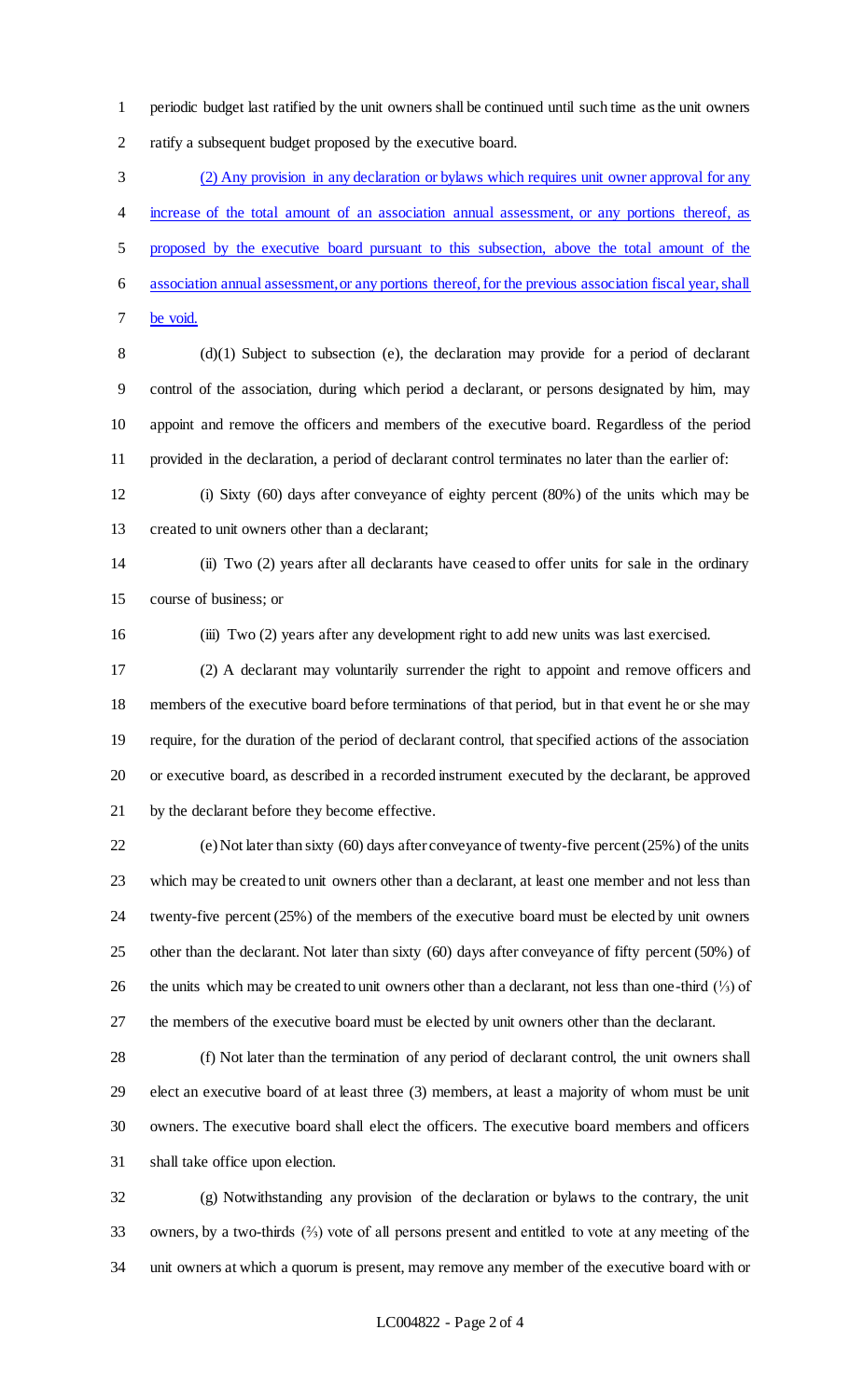periodic budget last ratified by the unit owners shall be continued until such time as the unit owners ratify a subsequent budget proposed by the executive board.

 (2) Any provision in any declaration or bylaws which requires unit owner approval for any increase of the total amount of an association annual assessment, or any portions thereof, as proposed by the executive board pursuant to this subsection, above the total amount of the association annual assessment, or any portions thereof, for the previous association fiscal year, shall be void.

 (d)(1) Subject to subsection (e), the declaration may provide for a period of declarant control of the association, during which period a declarant, or persons designated by him, may appoint and remove the officers and members of the executive board. Regardless of the period provided in the declaration, a period of declarant control terminates no later than the earlier of:

 (i) Sixty (60) days after conveyance of eighty percent (80%) of the units which may be created to unit owners other than a declarant;

 (ii) Two (2) years after all declarants have ceased to offer units for sale in the ordinary course of business; or

(iii) Two (2) years after any development right to add new units was last exercised.

 (2) A declarant may voluntarily surrender the right to appoint and remove officers and members of the executive board before terminations of that period, but in that event he or she may require, for the duration of the period of declarant control, that specified actions of the association or executive board, as described in a recorded instrument executed by the declarant, be approved by the declarant before they become effective.

 (e) Not later than sixty (60) days after conveyance of twenty-five percent (25%) of the units which may be created to unit owners other than a declarant, at least one member and not less than twenty-five percent (25%) of the members of the executive board must be elected by unit owners other than the declarant. Not later than sixty (60) days after conveyance of fifty percent (50%) of the units which may be created to unit owners other than a declarant, not less than one-third (⅓) of the members of the executive board must be elected by unit owners other than the declarant.

 (f) Not later than the termination of any period of declarant control, the unit owners shall elect an executive board of at least three (3) members, at least a majority of whom must be unit owners. The executive board shall elect the officers. The executive board members and officers shall take office upon election.

 (g) Notwithstanding any provision of the declaration or bylaws to the contrary, the unit owners, by a two-thirds (⅔) vote of all persons present and entitled to vote at any meeting of the unit owners at which a quorum is present, may remove any member of the executive board with or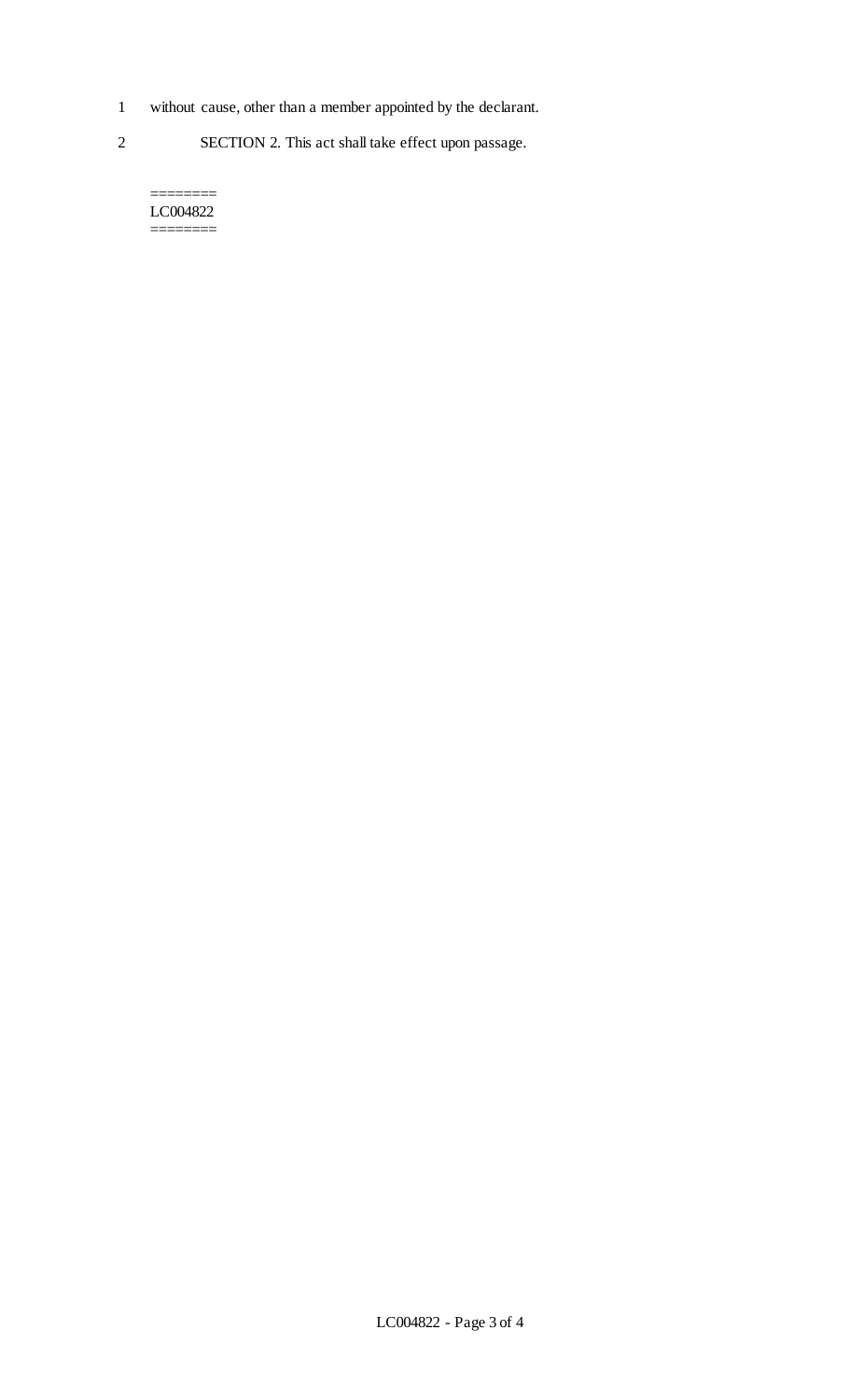- 1 without cause, other than a member appointed by the declarant.
- 2 SECTION 2. This act shall take effect upon passage.

======== LC004822 ========